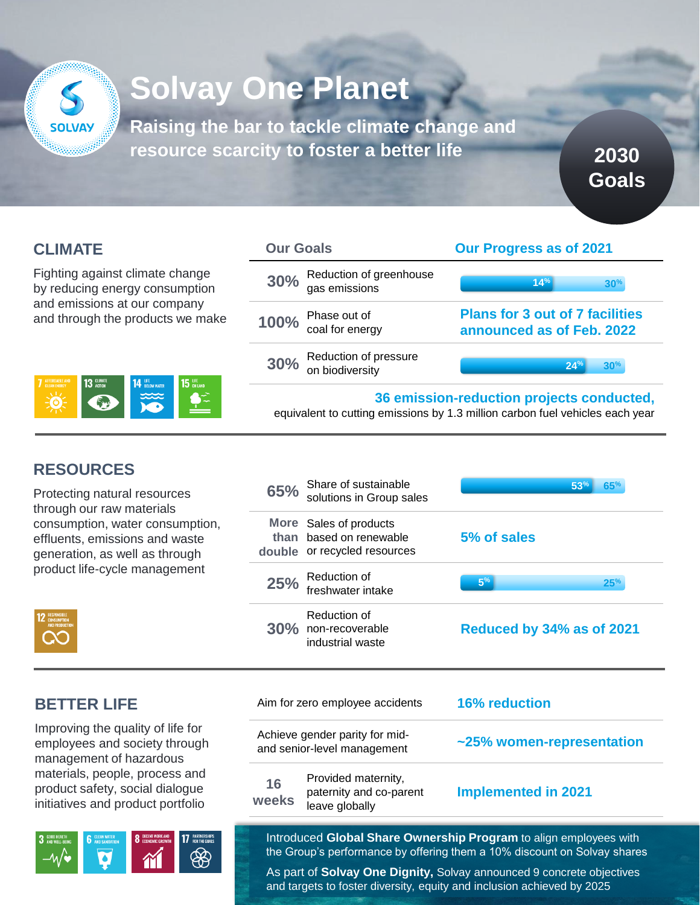

# **Solvay One Planet**

**Raising the bar to tackle climate change and resource scarcity to foster a better life**

**CLIMATE**

Fighting against climate change by reducing energy consumption and emissions at our company and through the products we make



| <b>Our Goals</b>                             | <b>Our Progress as of 2021</b>                                                                                             |
|----------------------------------------------|----------------------------------------------------------------------------------------------------------------------------|
| 30% Reduction of greenhouse<br>gas emissions | 14%<br>30 <sup>%</sup>                                                                                                     |
| 100% Phase out of<br>coal for energy         | <b>Plans for 3 out of 7 facilities</b><br>announced as of Feb. 2022                                                        |
| 30% Reduction of pressure<br>on biodiversity | 24%<br>30 <sup>%</sup>                                                                                                     |
|                                              | 36 emission-reduction projects conducted,<br>equivalent to cutting emissions by 1.3 million carbon fuel vehicles each year |

**2030** 

**Goals**

# **RESOURCES**

Protecting natural resource through our raw materials consumption, water consu effluents, emissions and w generation, as well as thro product life-cycle manager

| <b>RESPONSIBLE</b><br><b>CONSUMPTION</b><br><b>AND PRODUCTION</b> |
|-------------------------------------------------------------------|
|                                                                   |

| es                       | Share of sustainable<br>65%<br>solutions in Group sales                              | 53%<br>65%                 |
|--------------------------|--------------------------------------------------------------------------------------|----------------------------|
| imption,<br>aste<br>չացի | More Sales of products<br>based on renewable<br>than<br>double or recycled resources | 5% of sales                |
| ment                     | Reduction of<br>25%<br>freshwater intake                                             | 5 <sup>%</sup><br>25%      |
|                          | Reduction of<br>30% non-recoverable                                                  | Reduced by 34% as of 2021  |
|                          | industrial waste                                                                     |                            |
|                          | Aim for zero employee accidents                                                      | <b>16% reduction</b>       |
| e for<br>rough<br>S      | Achieve gender parity for mid-<br>and senior-level management                        | ~25% women-representation  |
| s and<br>ogue            | Provided maternity,<br>16<br>paternity and co-parent                                 | <b>Implemented in 2021</b> |

Introduced **Global Share Ownership Program** to align employees with the Group's performance by offering them a 10% discount on Solvay shares

As part of **Solvay One Dignity,** Solvay announced 9 concrete objectives and targets to foster diversity, equity and inclusion achieved by 2025

## **BETTER LIFE**

Improving the quality of life employees and society thi management of hazardous materials, people, process product safety, social diald initiatives and product por